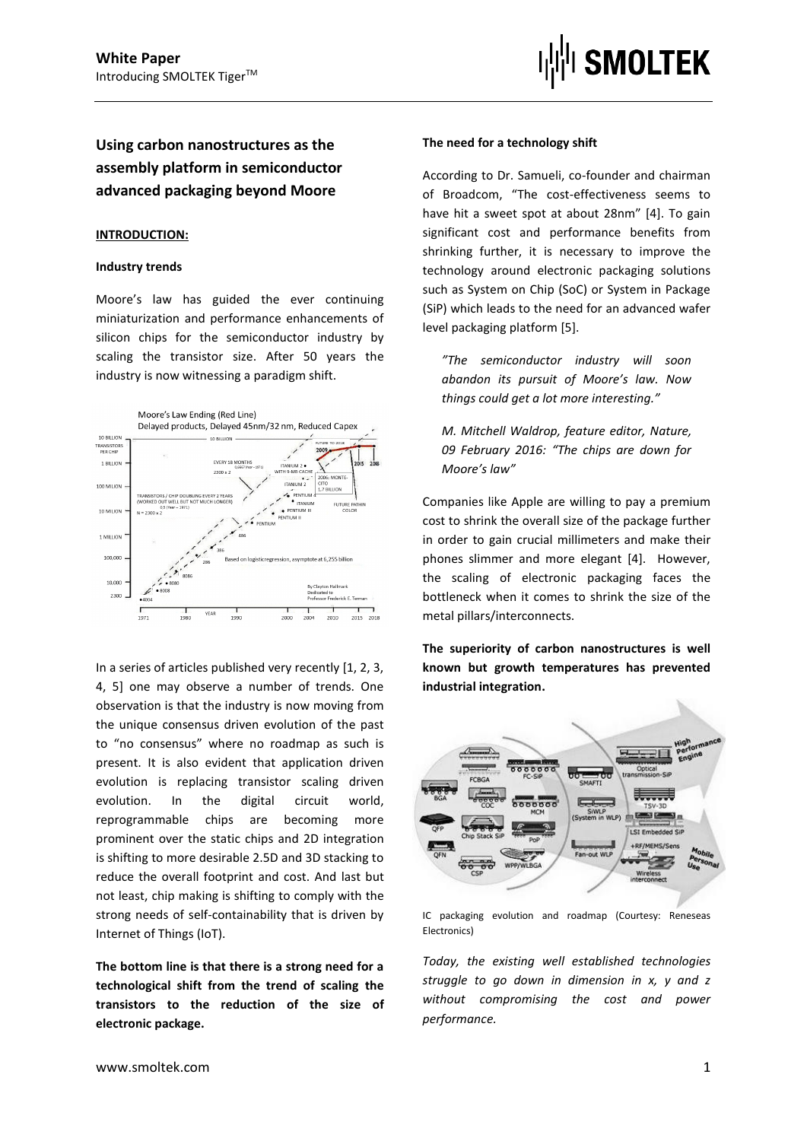

# **Using carbon nanostructures as the assembly platform in semiconductor advanced packaging beyond Moore**

# **INTRODUCTION:**

# **Industry trends**

Moore's law has guided the ever continuing miniaturization and performance enhancements of silicon chips for the semiconductor industry by scaling the transistor size. After 50 years the industry is now witnessing a paradigm shift.



In a series of articles published very recently [1, 2, 3, 4, 5] one may observe a number of trends. One observation is that the industry is now moving from the unique consensus driven evolution of the past to "no consensus" where no roadmap as such is present. It is also evident that application driven evolution is replacing transistor scaling driven evolution. In the digital circuit world, reprogrammable chips are becoming more prominent over the static chips and 2D integration is shifting to more desirable 2.5D and 3D stacking to reduce the overall footprint and cost. And last but not least, chip making is shifting to comply with the strong needs of self-containability that is driven by Internet of Things (IoT).

**The bottom line is that there is a strong need for a technological shift from the trend of scaling the transistors to the reduction of the size of electronic package.**

# **The need for a technology shift**

According to Dr. Samueli, co-founder and chairman of Broadcom, "The cost-effectiveness seems to have hit a sweet spot at about 28nm" [4]. To gain significant cost and performance benefits from shrinking further, it is necessary to improve the technology around electronic packaging solutions such as System on Chip (SoC) or System in Package (SiP) which leads to the need for an advanced wafer level packaging platform [5].

*"The semiconductor industry will soon abandon its pursuit of Moore's law. Now things could get a lot more interesting."*

*M. Mitchell Waldrop, feature editor, Nature, 09 February 2016: "The chips are down for Moore's law"*

Companies like Apple are willing to pay a premium cost to shrink the overall size of the package further in order to gain crucial millimeters and make their phones slimmer and more elegant [4]. However, the scaling of electronic packaging faces the bottleneck when it comes to shrink the size of the metal pillars/interconnects.

**The superiority of carbon nanostructures is well known but growth temperatures has prevented industrial integration.**



IC packaging evolution and roadmap (Courtesy: Reneseas Electronics)

*Today, the existing well established technologies struggle to go down in dimension in x, y and z without compromising the cost and power performance.*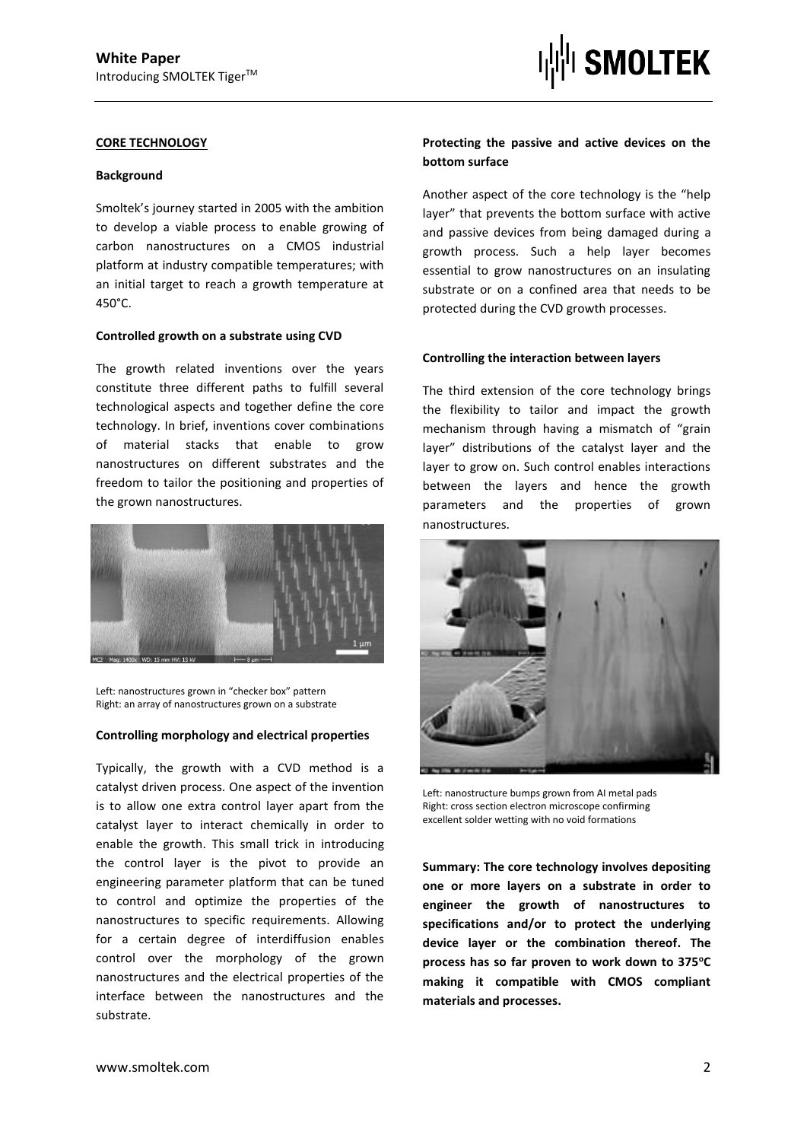

## **CORE TECHNOLOGY**

### **Background**

Smoltek's journey started in 2005 with the ambition to develop a viable process to enable growing of carbon nanostructures on a CMOS industrial platform at industry compatible temperatures; with an initial target to reach a growth temperature at 450°C.

# **Controlled growth on a substrate using CVD**

The growth related inventions over the years constitute three different paths to fulfill several technological aspects and together define the core technology. In brief, inventions cover combinations of material stacks that enable to grow nanostructures on different substrates and the freedom to tailor the positioning and properties of the grown nanostructures.



Left: nanostructures grown in "checker box" pattern Right: an array of nanostructures grown on a substrate

## **Controlling morphology and electrical properties**

Typically, the growth with a CVD method is a catalyst driven process. One aspect of the invention is to allow one extra control layer apart from the catalyst layer to interact chemically in order to enable the growth. This small trick in introducing the control layer is the pivot to provide an engineering parameter platform that can be tuned to control and optimize the properties of the nanostructures to specific requirements. Allowing for a certain degree of interdiffusion enables control over the morphology of the grown nanostructures and the electrical properties of the interface between the nanostructures and the substrate.

# **Protecting the passive and active devices on the bottom surface**

Another aspect of the core technology is the "help layer" that prevents the bottom surface with active and passive devices from being damaged during a growth process. Such a help layer becomes essential to grow nanostructures on an insulating substrate or on a confined area that needs to be protected during the CVD growth processes.

### **Controlling the interaction between layers**

The third extension of the core technology brings the flexibility to tailor and impact the growth mechanism through having a mismatch of "grain layer" distributions of the catalyst layer and the layer to grow on. Such control enables interactions between the layers and hence the growth parameters and the properties of grown nanostructures.



Left: nanostructure bumps grown from AI metal pads Right: cross section electron microscope confirming excellent solder wetting with no void formations

**Summary: The core technology involves depositing one or more layers on a substrate in order to engineer the growth of nanostructures to specifications and/or to protect the underlying device layer or the combination thereof. The process has so far proven to work down to 375<sup>o</sup>C making it compatible with CMOS compliant materials and processes.**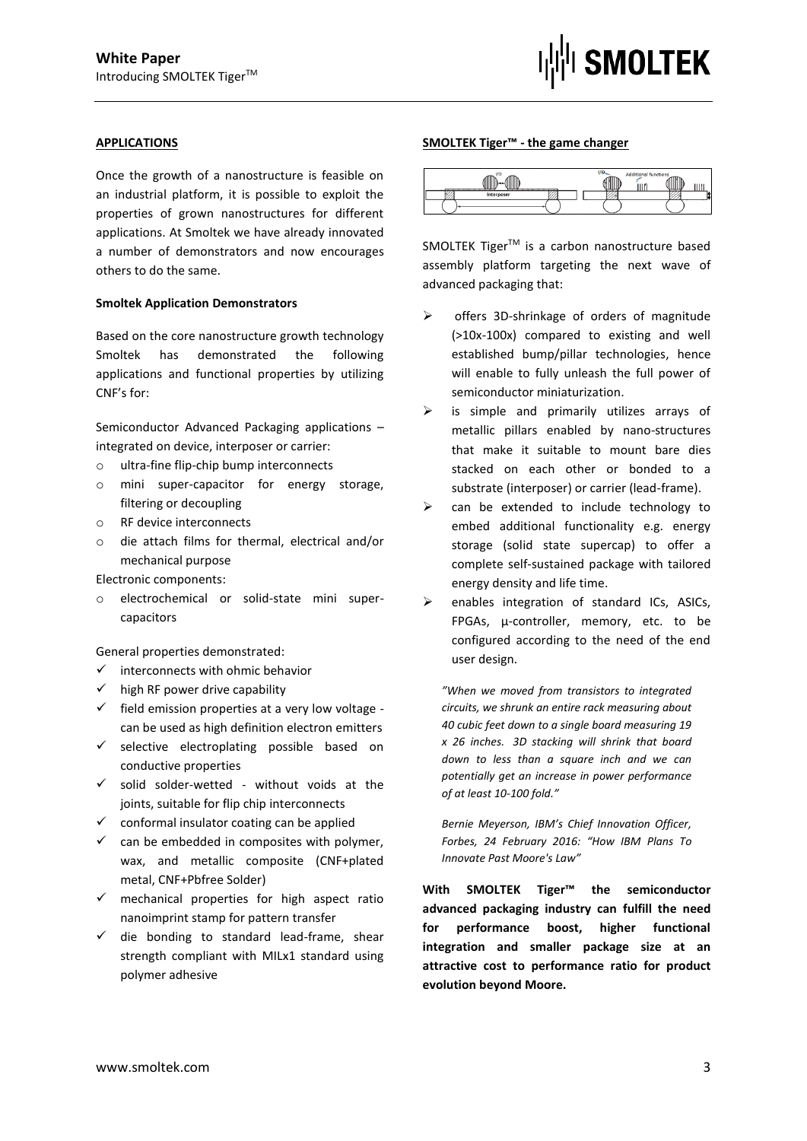

# **APPLICATIONS**

Once the growth of a nanostructure is feasible on an industrial platform, it is possible to exploit the properties of grown nanostructures for different applications. At Smoltek we have already innovated a number of demonstrators and now encourages others to do the same.

# **Smoltek Application Demonstrators**

Based on the core nanostructure growth technology Smoltek has demonstrated the following applications and functional properties by utilizing CNF's for:

Semiconductor Advanced Packaging applications – integrated on device, interposer or carrier:

- o ultra-fine flip-chip bump interconnects
- o mini super-capacitor for energy storage, filtering or decoupling
- o RF device interconnects
- o die attach films for thermal, electrical and/or mechanical purpose

Electronic components:

o electrochemical or solid-state mini supercapacitors

General properties demonstrated:

- $\checkmark$  interconnects with ohmic behavior
- $\checkmark$  high RF power drive capability
- $\checkmark$  field emission properties at a very low voltage can be used as high definition electron emitters
- $\checkmark$  selective electroplating possible based on conductive properties
- $\checkmark$  solid solder-wetted without voids at the joints, suitable for flip chip interconnects
- $\checkmark$  conformal insulator coating can be applied
- $\checkmark$  can be embedded in composites with polymer, wax, and metallic composite (CNF+plated metal, CNF+Pbfree Solder)
- $\checkmark$  mechanical properties for high aspect ratio nanoimprint stamp for pattern transfer
- $\checkmark$  die bonding to standard lead-frame, shear strength compliant with MILx1 standard using polymer adhesive

### **SMOLTEK Tiger™ - the game changer**

| 1/O        | <b>Additional functions</b> |  |
|------------|-----------------------------|--|
| Interposer |                             |  |
|            |                             |  |

SMOLTEK Tiger<sup>™</sup> is a carbon nanostructure based assembly platform targeting the next wave of advanced packaging that:

- $\triangleright$  offers 3D-shrinkage of orders of magnitude (>10x-100x) compared to existing and well established bump/pillar technologies, hence will enable to fully unleash the full power of semiconductor miniaturization.
- $\triangleright$  is simple and primarily utilizes arrays of metallic pillars enabled by nano-structures that make it suitable to mount bare dies stacked on each other or bonded to a substrate (interposer) or carrier (lead-frame).
- $\triangleright$  can be extended to include technology to embed additional functionality e.g. energy storage (solid state supercap) to offer a complete self-sustained package with tailored energy density and life time.
- $\triangleright$  enables integration of standard ICs, ASICs, FPGAs, µ-controller, memory, etc. to be configured according to the need of the end user design.

*"When we moved from transistors to integrated circuits, we shrunk an entire rack measuring about 40 cubic feet down to a single board measuring 19 x 26 inches. 3D stacking will shrink that board down to less than a square inch and we can potentially get an increase in power performance of at least 10-100 fold."*

*Bernie Meyerson, IBM's Chief Innovation Officer, Forbes, 24 February 2016: "How IBM Plans To Innovate Past Moore's Law"*

**With SMOLTEK Tiger™ the semiconductor advanced packaging industry can fulfill the need for performance boost, higher functional integration and smaller package size at an attractive cost to performance ratio for product evolution beyond Moore.**